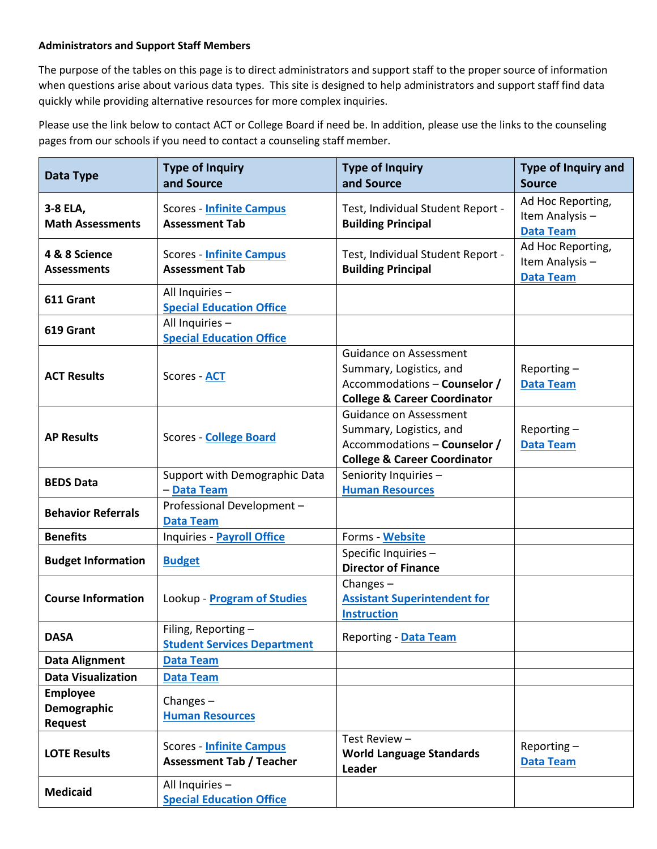## **Administrators and Support Staff Members**

The purpose of the tables on this page is to direct administrators and support staff to the proper source of information when questions arise about various data types. This site is designed to help administrators and support staff find data quickly while providing alternative resources for more complex inquiries.

Please use the link below to contact ACT or College Board if need be. In addition, please use the links to the counseling pages from our schools if you need to contact a counseling staff member.

| Data Type                                        | <b>Type of Inquiry</b><br>and Source                               | <b>Type of Inquiry</b><br>and Source                                                                                         | <b>Type of Inquiry and</b><br><b>Source</b>             |
|--------------------------------------------------|--------------------------------------------------------------------|------------------------------------------------------------------------------------------------------------------------------|---------------------------------------------------------|
| 3-8 ELA,<br><b>Math Assessments</b>              | <b>Scores - Infinite Campus</b><br><b>Assessment Tab</b>           | Test, Individual Student Report -<br><b>Building Principal</b>                                                               | Ad Hoc Reporting,<br>Item Analysis-<br><b>Data Team</b> |
| 4 & 8 Science<br><b>Assessments</b>              | <b>Scores - Infinite Campus</b><br><b>Assessment Tab</b>           | Test, Individual Student Report -<br><b>Building Principal</b>                                                               | Ad Hoc Reporting,<br>Item Analysis-<br><b>Data Team</b> |
| 611 Grant                                        | All Inquiries -<br><b>Special Education Office</b>                 |                                                                                                                              |                                                         |
| 619 Grant                                        | All Inquiries -<br><b>Special Education Office</b>                 |                                                                                                                              |                                                         |
| <b>ACT Results</b>                               | Scores - ACT                                                       | Guidance on Assessment<br>Summary, Logistics, and<br>Accommodations - Counselor /<br><b>College &amp; Career Coordinator</b> | Reporting $-$<br><b>Data Team</b>                       |
| <b>AP Results</b>                                | <b>Scores - College Board</b>                                      | Guidance on Assessment<br>Summary, Logistics, and<br>Accommodations - Counselor /<br><b>College &amp; Career Coordinator</b> | Reporting $-$<br><b>Data Team</b>                       |
| <b>BEDS Data</b>                                 | Support with Demographic Data<br>- Data Team                       | Seniority Inquiries -<br><b>Human Resources</b>                                                                              |                                                         |
| <b>Behavior Referrals</b>                        | Professional Development -<br><b>Data Team</b>                     |                                                                                                                              |                                                         |
| <b>Benefits</b>                                  | Inquiries - Payroll Office                                         | Forms - Website                                                                                                              |                                                         |
| <b>Budget Information</b>                        | <b>Budget</b>                                                      | Specific Inquiries -<br><b>Director of Finance</b>                                                                           |                                                         |
| <b>Course Information</b>                        | Lookup - Program of Studies                                        | Changes $-$<br><b>Assistant Superintendent for</b><br><b>Instruction</b>                                                     |                                                         |
| <b>DASA</b>                                      | Filing, Reporting -<br><b>Student Services Department</b>          | Reporting - Data Team                                                                                                        |                                                         |
| <b>Data Alignment</b>                            | <b>Data Team</b>                                                   |                                                                                                                              |                                                         |
| <b>Data Visualization</b>                        | <b>Data Team</b>                                                   |                                                                                                                              |                                                         |
| <b>Employee</b><br>Demographic<br><b>Request</b> | Changes $-$<br><b>Human Resources</b>                              |                                                                                                                              |                                                         |
| <b>LOTE Results</b>                              | <b>Scores - Infinite Campus</b><br><b>Assessment Tab / Teacher</b> | Test Review -<br><b>World Language Standards</b><br>Leader                                                                   | Reporting $-$<br><b>Data Team</b>                       |
| <b>Medicaid</b>                                  | All Inquiries -<br><b>Special Education Office</b>                 |                                                                                                                              |                                                         |